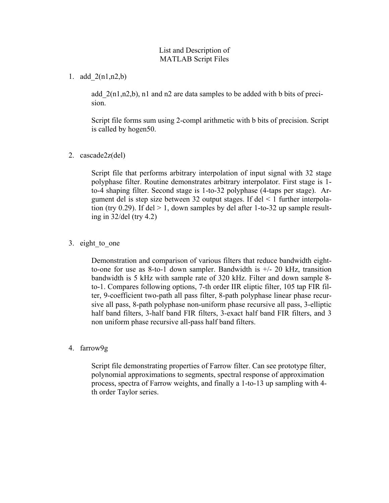# List and Description of MATLAB Script Files

1. add  $2(n1, n2, b)$ 

add  $2(n1,n2,b)$ , n1 and n2 are data samples to be added with b bits of precision.

Script file forms sum using 2-compl arithmetic with b bits of precision. Script is called by hogen50.

2. cascade2z(del)

Script file that performs arbitrary interpolation of input signal with 32 stage polyphase filter. Routine demonstrates arbitrary interpolator. First stage is 1 to-4 shaping filter. Second stage is 1-to-32 polyphase (4-taps per stage). Argument del is step size between 32 output stages. If del < 1 further interpolation (try 0.29). If del  $> 1$ , down samples by del after 1-to-32 up sample resulting in  $32$ /del (try 4.2)

3. eight to one

Demonstration and comparison of various filters that reduce bandwidth eightto-one for use as 8-to-1 down sampler. Bandwidth is  $+/- 20$  kHz, transition bandwidth is 5 kHz with sample rate of 320 kHz. Filter and down sample 8 to-1. Compares following options, 7-th order IIR eliptic filter, 105 tap FIR filter, 9-coefficient two-path all pass filter, 8-path polyphase linear phase recursive all pass, 8-path polyphase non-uniform phase recursive all pass, 3-elliptic half band filters, 3-half band FIR filters, 3-exact half band FIR filters, and 3 non uniform phase recursive all-pass half band filters.

4. farrow9g

Script file demonstrating properties of Farrow filter. Can see prototype filter, polynomial approximations to segments, spectral response of approximation process, spectra of Farrow weights, and finally a 1-to-13 up sampling with 4 th order Taylor series.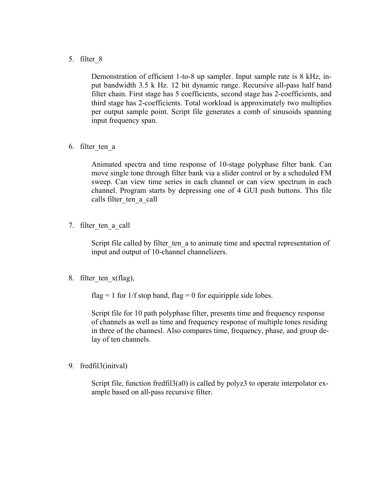5. filter\_8

Demonstration of efficient 1-to-8 up sampler. Input sample rate is 8 kHz, input bandwidth 3.5 k Hz. 12 bit dynamic range. Recursive all-pass half band filter chain. First stage has 5 coefficients, second stage has 2-coefficients, and third stage has 2-coefficients. Total workload is approximately two multiplies per output sample point. Script file generates a comb of sinusoids spanning input frequency span.

6. filter\_ten\_a

Animated spectra and time response of 10-stage polyphase filter bank. Can move single tone through filter bank via a slider control or by a scheduled FM sweep. Can view time series in each channel or can view spectrum in each channel. Program starts by depressing one of 4 GUI push buttons. This file calls filter ten a call

7. filter ten a call

Script file called by filter ten a to animate time and spectral representation of input and output of 10-channel channelizers.

8. filter ten  $x(flag)$ ,

flag = 1 for  $1/f$  stop band, flag = 0 for equiripple side lobes.

Script file for 10 path polyphase filter, presents time and frequency response of channels as well as time and frequency response of multiple tones residing in three of the channesl. Also compares time, frequency, phase, and group delay of ten channels.

9. fredfil3(initval)

Script file, function fredfil3(a0) is called by polyz3 to operate interpolator example based on all-pass recursive filter.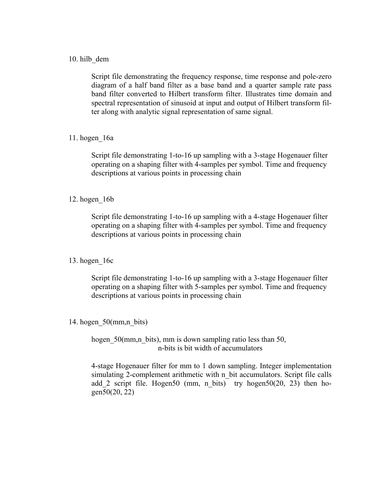### 10. hilb\_dem

Script file demonstrating the frequency response, time response and pole-zero diagram of a half band filter as a base band and a quarter sample rate pass band filter converted to Hilbert transform filter. Illustrates time domain and spectral representation of sinusoid at input and output of Hilbert transform filter along with analytic signal representation of same signal.

# 11. hogen\_16a

Script file demonstrating 1-to-16 up sampling with a 3-stage Hogenauer filter operating on a shaping filter with 4-samples per symbol. Time and frequency descriptions at various points in processing chain

## 12. hogen\_16b

Script file demonstrating 1-to-16 up sampling with a 4-stage Hogenauer filter operating on a shaping filter with 4-samples per symbol. Time and frequency descriptions at various points in processing chain

#### 13. hogen\_16c

Script file demonstrating 1-to-16 up sampling with a 3-stage Hogenauer filter operating on a shaping filter with 5-samples per symbol. Time and frequency descriptions at various points in processing chain

#### 14. hogen  $50$ (mm,n bits)

hogen 50(mm,n bits), mm is down sampling ratio less than 50, n-bits is bit width of accumulators

4-stage Hogenauer filter for mm to 1 down sampling. Integer implementation simulating 2-complement arithmetic with n\_bit accumulators. Script file calls add 2 script file. Hogen50 (mm, n bits) try hogen50(20, 23) then hogen50(20, 22)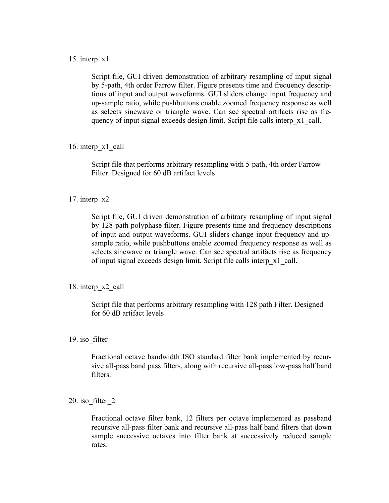### 15. interp\_x1

Script file, GUI driven demonstration of arbitrary resampling of input signal by 5-path, 4th order Farrow filter. Figure presents time and frequency descriptions of input and output waveforms. GUI sliders change input frequency and up-sample ratio, while pushbuttons enable zoomed frequency response as well as selects sinewave or triangle wave. Can see spectral artifacts rise as frequency of input signal exceeds design limit. Script file calls interp x1 call.

# 16. interp\_x1\_call

Script file that performs arbitrary resampling with 5-path, 4th order Farrow Filter. Designed for 60 dB artifact levels

## 17. interp\_x2

Script file, GUI driven demonstration of arbitrary resampling of input signal by 128-path polyphase filter. Figure presents time and frequency descriptions of input and output waveforms. GUI sliders change input frequency and upsample ratio, while pushbuttons enable zoomed frequency response as well as selects sinewave or triangle wave. Can see spectral artifacts rise as frequency of input signal exceeds design limit. Script file calls interp\_x1\_call.

#### 18. interp\_x2\_call

Script file that performs arbitrary resampling with 128 path Filter. Designed for 60 dB artifact levels

### 19. iso\_filter

Fractional octave bandwidth ISO standard filter bank implemented by recursive all-pass band pass filters, along with recursive all-pass low-pass half band filters.

#### 20. iso\_filter\_2

Fractional octave filter bank, 12 filters per octave implemented as passband recursive all-pass filter bank and recursive all-pass half band filters that down sample successive octaves into filter bank at successively reduced sample rates.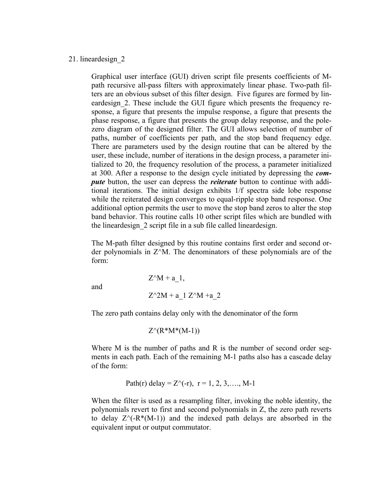### 21. lineardesign\_2

Graphical user interface (GUI) driven script file presents coefficients of Mpath recursive all-pass filters with approximately linear phase. Two-path filters are an obvious subset of this filter design. Five figures are formed by lineardesign 2. These include the GUI figure which presents the frequency response, a figure that presents the impulse response, a figure that presents the phase response, a figure that presents the group delay response, and the polezero diagram of the designed filter. The GUI allows selection of number of paths, number of coefficients per path, and the stop band frequency edge. There are parameters used by the design routine that can be altered by the user, these include, number of iterations in the design process, a parameter initialized to 20, the frequency resolution of the process, a parameter initialized at 300. After a response to the design cycle initiated by depressing the *compute* button, the user can depress the *reiterate* button to continue with additional iterations. The initial design exhibits 1/f spectra side lobe response while the reiterated design converges to equal-ripple stop band response. One additional option permits the user to move the stop band zeros to alter the stop band behavior. This routine calls 10 other script files which are bundled with the lineardesign\_2 script file in a sub file called lineardesign.

The M-path filter designed by this routine contains first order and second order polynomials in Z^M. The denominators of these polynomials are of the form:

and

 $Z^{\wedge}2M$  + a\_1  $Z^{\wedge}M$  +a\_2

 $Z^{\wedge}M$  + a\_1,

The zero path contains delay only with the denominator of the form

 $Z^{(k*M*(M-1))}$ 

Where M is the number of paths and R is the number of second order segments in each path. Each of the remaining M-1 paths also has a cascade delay of the form:

Path(r) delay = 
$$
Z^(-r)
$$
, r = 1, 2, 3, ..., M-1

When the filter is used as a resampling filter, invoking the noble identity, the polynomials revert to first and second polynomials in Z, the zero path reverts to delay  $Z^{\wedge}$ (-R<sup>\*</sup>(M-1)) and the indexed path delays are absorbed in the equivalent input or output commutator.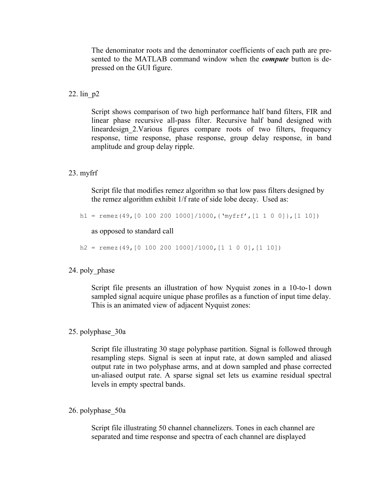The denominator roots and the denominator coefficients of each path are presented to the MATLAB command window when the *compute* button is depressed on the GUI figure.

# 22. lin\_p2

Script shows comparison of two high performance half band filters, FIR and linear phase recursive all-pass filter. Recursive half band designed with lineardesign 2.Various figures compare roots of two filters, frequency response, time response, phase response, group delay response, in band amplitude and group delay ripple.

#### 23. myfrf

Script file that modifies remez algorithm so that low pass filters designed by the remez algorithm exhibit 1/f rate of side lobe decay. Used as:

h1 = remez(49,  $[0 100 200 1000]/1000$ , {'myfrf',  $[1 1 0 0]$ },  $[1 10]$ )

as opposed to standard call

 $h2 = \text{remez}(49, [0 100 200 1000]/1000, [1 1 0 0], [1 10])$ 

#### 24. poly phase

Script file presents an illustration of how Nyquist zones in a 10-to-1 down sampled signal acquire unique phase profiles as a function of input time delay. This is an animated view of adjacent Nyquist zones:

#### 25. polyphase\_30a

Script file illustrating 30 stage polyphase partition. Signal is followed through resampling steps. Signal is seen at input rate, at down sampled and aliased output rate in two polyphase arms, and at down sampled and phase corrected un-aliased output rate. A sparse signal set lets us examine residual spectral levels in empty spectral bands.

#### 26. polyphase\_50a

Script file illustrating 50 channel channelizers. Tones in each channel are separated and time response and spectra of each channel are displayed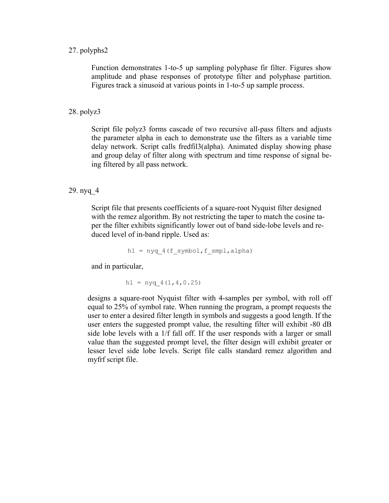## 27. polyphs2

Function demonstrates 1-to-5 up sampling polyphase fir filter. Figures show amplitude and phase responses of prototype filter and polyphase partition. Figures track a sinusoid at various points in 1-to-5 up sample process.

# 28. polyz3

Script file polyz3 forms cascade of two recursive all-pass filters and adjusts the parameter alpha in each to demonstrate use the filters as a variable time delay network. Script calls fredfil3(alpha). Animated display showing phase and group delay of filter along with spectrum and time response of signal being filtered by all pass network.

# 29. nyq\_4

Script file that presents coefficients of a square-root Nyquist filter designed with the remez algorithm. By not restricting the taper to match the cosine taper the filter exhibits significantly lower out of band side-lobe levels and reduced level of in-band ripple. Used as:

$$
h1 = n y q_4 (f_s y m bol, f_s mpl, alpha)
$$

and in particular,

$$
h1 = nyq_4(1, 4, 0.25)
$$

designs a square-root Nyquist filter with 4-samples per symbol, with roll off equal to 25% of symbol rate. When running the program, a prompt requests the user to enter a desired filter length in symbols and suggests a good length. If the user enters the suggested prompt value, the resulting filter will exhibit -80 dB side lobe levels with a 1/f fall off. If the user responds with a larger or small value than the suggested prompt level, the filter design will exhibit greater or lesser level side lobe levels. Script file calls standard remez algorithm and myfrf script file.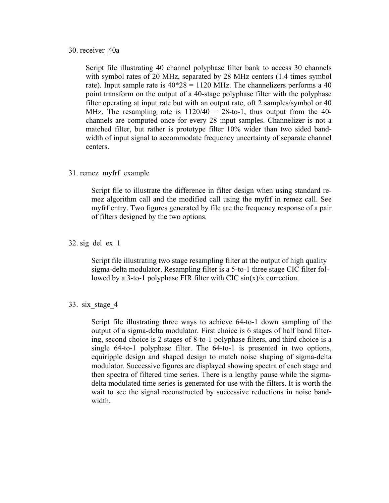#### 30. receiver\_40a

Script file illustrating 40 channel polyphase filter bank to access 30 channels with symbol rates of 20 MHz, separated by 28 MHz centers (1.4 times symbol rate). Input sample rate is  $40*28 = 1120$  MHz. The channelizers performs a 40 point transform on the output of a 40-stage polyphase filter with the polyphase filter operating at input rate but with an output rate, oft 2 samples/symbol or 40 MHz. The resampling rate is  $1120/40 = 28$ -to-1, thus output from the 40channels are computed once for every 28 input samples. Channelizer is not a matched filter, but rather is prototype filter 10% wider than two sided bandwidth of input signal to accommodate frequency uncertainty of separate channel centers.

## 31. remez\_myfrf\_example

Script file to illustrate the difference in filter design when using standard remez algorithm call and the modified call using the myfrf in remez call. See myfrf entry. Two figures generated by file are the frequency response of a pair of filters designed by the two options.

32. sig del ex $1$ 

Script file illustrating two stage resampling filter at the output of high quality sigma-delta modulator. Resampling filter is a 5-to-1 three stage CIC filter followed by a 3-to-1 polyphase FIR filter with CIC sin(x)/x correction.

33. six\_stage\_4

Script file illustrating three ways to achieve 64-to-1 down sampling of the output of a sigma-delta modulator. First choice is 6 stages of half band filtering, second choice is 2 stages of 8-to-1 polyphase filters, and third choice is a single 64-to-1 polyphase filter. The 64-to-1 is presented in two options, equiripple design and shaped design to match noise shaping of sigma-delta modulator. Successive figures are displayed showing spectra of each stage and then spectra of filtered time series. There is a lengthy pause while the sigmadelta modulated time series is generated for use with the filters. It is worth the wait to see the signal reconstructed by successive reductions in noise bandwidth.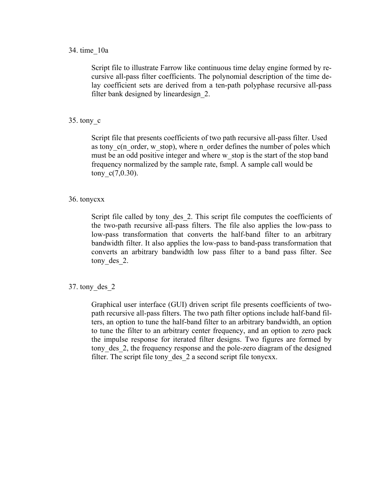#### 34. time\_10a

Script file to illustrate Farrow like continuous time delay engine formed by recursive all-pass filter coefficients. The polynomial description of the time delay coefficient sets are derived from a ten-path polyphase recursive all-pass filter bank designed by lineardesign\_2.

#### $35.$  tony  $c$

Script file that presents coefficients of two path recursive all-pass filter. Used as tony c(n\_order, w\_stop), where n\_order defines the number of poles which must be an odd positive integer and where w\_stop is the start of the stop band frequency normalized by the sample rate, fsmpl. A sample call would be tony  $c(7,0.30)$ .

#### 36. tonycxx

Script file called by tony des 2. This script file computes the coefficients of the two-path recursive all-pass filters. The file also applies the low-pass to low-pass transformation that converts the half-band filter to an arbitrary bandwidth filter. It also applies the low-pass to band-pass transformation that converts an arbitrary bandwidth low pass filter to a band pass filter. See tony des 2.

#### 37. tony\_des\_2

Graphical user interface (GUI) driven script file presents coefficients of twopath recursive all-pass filters. The two path filter options include half-band filters, an option to tune the half-band filter to an arbitrary bandwidth, an option to tune the filter to an arbitrary center frequency, and an option to zero pack the impulse response for iterated filter designs. Two figures are formed by tony des 2, the frequency response and the pole-zero diagram of the designed filter. The script file tony des 2 a second script file tonycxx.